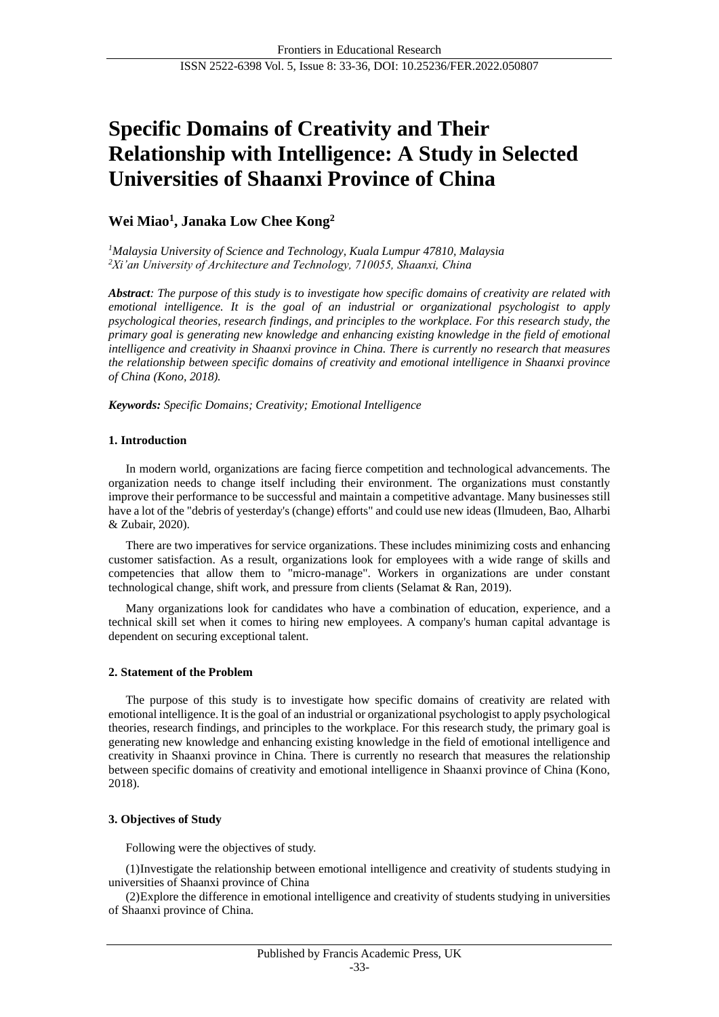# **Specific Domains of Creativity and Their Relationship with Intelligence: A Study in Selected Universities of Shaanxi Province of China**

## **Wei Miao<sup>1</sup> , Janaka Low Chee Kong<sup>2</sup>**

*<sup>1</sup>Malaysia University of Science and Technology, Kuala Lumpur 47810, Malaysia <sup>2</sup>Xi'an University of Architecture and Technology, 710055, Shaanxi, China*

*Abstract: The purpose of this study is to investigate how specific domains of creativity are related with emotional intelligence. It is the goal of an industrial or organizational psychologist to apply psychological theories, research findings, and principles to the workplace. For this research study, the primary goal is generating new knowledge and enhancing existing knowledge in the field of emotional intelligence and creativity in Shaanxi province in China. There is currently no research that measures the relationship between specific domains of creativity and emotional intelligence in Shaanxi province of China (Kono, 2018).*

*Keywords: Specific Domains; Creativity; Emotional Intelligence*

## **1. Introduction**

In modern world, organizations are facing fierce competition and technological advancements. The organization needs to change itself including their environment. The organizations must constantly improve their performance to be successful and maintain a competitive advantage. Many businesses still have a lot of the "debris of yesterday's (change) efforts" and could use new ideas (Ilmudeen, Bao, Alharbi & Zubair, 2020).

There are two imperatives for service organizations. These includes minimizing costs and enhancing customer satisfaction. As a result, organizations look for employees with a wide range of skills and competencies that allow them to "micro-manage". Workers in organizations are under constant technological change, shift work, and pressure from clients (Selamat & Ran, 2019).

Many organizations look for candidates who have a combination of education, experience, and a technical skill set when it comes to hiring new employees. A company's human capital advantage is dependent on securing exceptional talent.

## **2. Statement of the Problem**

The purpose of this study is to investigate how specific domains of creativity are related with emotional intelligence. It is the goal of an industrial or organizational psychologist to apply psychological theories, research findings, and principles to the workplace. For this research study, the primary goal is generating new knowledge and enhancing existing knowledge in the field of emotional intelligence and creativity in Shaanxi province in China. There is currently no research that measures the relationship between specific domains of creativity and emotional intelligence in Shaanxi province of China (Kono, 2018).

## **3. Objectives of Study**

Following were the objectives of study.

(1)Investigate the relationship between emotional intelligence and creativity of students studying in universities of Shaanxi province of China

(2)Explore the difference in emotional intelligence and creativity of students studying in universities of Shaanxi province of China.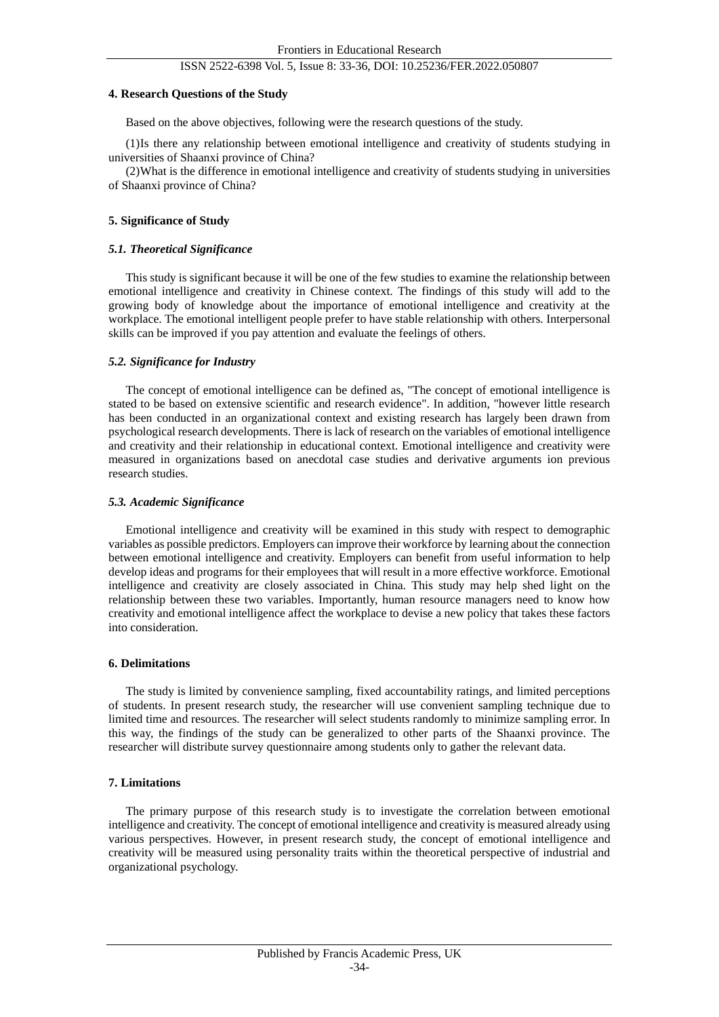### ISSN 2522-6398 Vol. 5, Issue 8: 33-36, DOI: 10.25236/FER.2022.050807

#### **4. Research Questions of the Study**

Based on the above objectives, following were the research questions of the study.

(1)Is there any relationship between emotional intelligence and creativity of students studying in universities of Shaanxi province of China?

(2)What is the difference in emotional intelligence and creativity of students studying in universities of Shaanxi province of China?

#### **5. Significance of Study**

#### *5.1. Theoretical Significance*

This study is significant because it will be one of the few studies to examine the relationship between emotional intelligence and creativity in Chinese context. The findings of this study will add to the growing body of knowledge about the importance of emotional intelligence and creativity at the workplace. The emotional intelligent people prefer to have stable relationship with others. Interpersonal skills can be improved if you pay attention and evaluate the feelings of others.

#### *5.2. Significance for Industry*

The concept of emotional intelligence can be defined as, "The concept of emotional intelligence is stated to be based on extensive scientific and research evidence". In addition, "however little research has been conducted in an organizational context and existing research has largely been drawn from psychological research developments. There is lack of research on the variables of emotional intelligence and creativity and their relationship in educational context. Emotional intelligence and creativity were measured in organizations based on anecdotal case studies and derivative arguments ion previous research studies.

#### *5.3. Academic Significance*

Emotional intelligence and creativity will be examined in this study with respect to demographic variables as possible predictors. Employers can improve their workforce by learning about the connection between emotional intelligence and creativity. Employers can benefit from useful information to help develop ideas and programs for their employees that will result in a more effective workforce. Emotional intelligence and creativity are closely associated in China. This study may help shed light on the relationship between these two variables. Importantly, human resource managers need to know how creativity and emotional intelligence affect the workplace to devise a new policy that takes these factors into consideration.

#### **6. Delimitations**

The study is limited by convenience sampling, fixed accountability ratings, and limited perceptions of students. In present research study, the researcher will use convenient sampling technique due to limited time and resources. The researcher will select students randomly to minimize sampling error. In this way, the findings of the study can be generalized to other parts of the Shaanxi province. The researcher will distribute survey questionnaire among students only to gather the relevant data.

#### **7. Limitations**

The primary purpose of this research study is to investigate the correlation between emotional intelligence and creativity. The concept of emotional intelligence and creativity is measured already using various perspectives. However, in present research study, the concept of emotional intelligence and creativity will be measured using personality traits within the theoretical perspective of industrial and organizational psychology.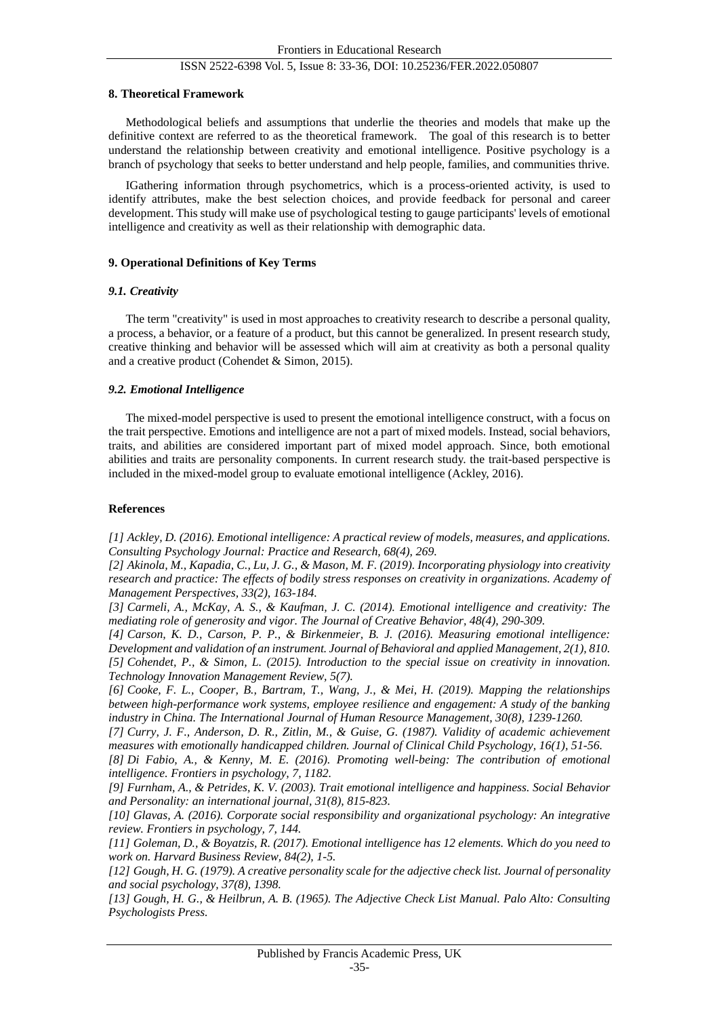## ISSN 2522-6398 Vol. 5, Issue 8: 33-36, DOI: 10.25236/FER.2022.050807

#### **8. Theoretical Framework**

Methodological beliefs and assumptions that underlie the theories and models that make up the definitive context are referred to as the theoretical framework. The goal of this research is to better understand the relationship between creativity and emotional intelligence. Positive psychology is a branch of psychology that seeks to better understand and help people, families, and communities thrive.

IGathering information through psychometrics, which is a process-oriented activity, is used to identify attributes, make the best selection choices, and provide feedback for personal and career development. This study will make use of psychological testing to gauge participants' levels of emotional intelligence and creativity as well as their relationship with demographic data.

## **9. Operational Definitions of Key Terms**

## *9.1. Creativity*

The term "creativity" is used in most approaches to creativity research to describe a personal quality, a process, a behavior, or a feature of a product, but this cannot be generalized. In present research study, creative thinking and behavior will be assessed which will aim at creativity as both a personal quality and a creative product (Cohendet & Simon, 2015).

## *9.2. Emotional Intelligence*

The mixed-model perspective is used to present the emotional intelligence construct, with a focus on the trait perspective. Emotions and intelligence are not a part of mixed models. Instead, social behaviors, traits, and abilities are considered important part of mixed model approach. Since, both emotional abilities and traits are personality components. In current research study. the trait-based perspective is included in the mixed-model group to evaluate emotional intelligence (Ackley, 2016).

## **References**

*[1] Ackley, D. (2016). Emotional intelligence: A practical review of models, measures, and applications. Consulting Psychology Journal: Practice and Research, 68(4), 269.*

*[2] Akinola, M., Kapadia, C., Lu, J. G., & Mason, M. F. (2019). Incorporating physiology into creativity research and practice: The effects of bodily stress responses on creativity in organizations. Academy of Management Perspectives, 33(2), 163-184.*

*[3] Carmeli, A., McKay, A. S., & Kaufman, J. C. (2014). Emotional intelligence and creativity: The mediating role of generosity and vigor. The Journal of Creative Behavior, 48(4), 290-309.*

*[4] Carson, K. D., Carson, P. P., & Birkenmeier, B. J. (2016). Measuring emotional intelligence: Development and validation of an instrument. Journal of Behavioral and applied Management, 2(1), 810. [5] Cohendet, P., & Simon, L. (2015). Introduction to the special issue on creativity in innovation. Technology Innovation Management Review, 5(7).*

*[6] Cooke, F. L., Cooper, B., Bartram, T., Wang, J., & Mei, H. (2019). Mapping the relationships between high-performance work systems, employee resilience and engagement: A study of the banking industry in China. The International Journal of Human Resource Management, 30(8), 1239-1260.*

*[7] Curry, J. F., Anderson, D. R., Zitlin, M., & Guise, G. (1987). Validity of academic achievement measures with emotionally handicapped children. Journal of Clinical Child Psychology, 16(1), 51-56. [8] Di Fabio, A., & Kenny, M. E. (2016). Promoting well-being: The contribution of emotional* 

*intelligence. Frontiers in psychology, 7, 1182.*

*[9] Furnham, A., & Petrides, K. V. (2003). Trait emotional intelligence and happiness. Social Behavior and Personality: an international journal, 31(8), 815-823.*

*[10] Glavas, A. (2016). Corporate social responsibility and organizational psychology: An integrative review. Frontiers in psychology, 7, 144.*

*[11] Goleman, D., & Boyatzis, R. (2017). Emotional intelligence has 12 elements. Which do you need to work on. Harvard Business Review, 84(2), 1-5.*

*[12] Gough, H. G. (1979). A creative personality scale for the adjective check list. Journal of personality and social psychology, 37(8), 1398.*

*[13] Gough, H. G., & Heilbrun, A. B. (1965). The Adjective Check List Manual. Palo Alto: Consulting Psychologists Press.*